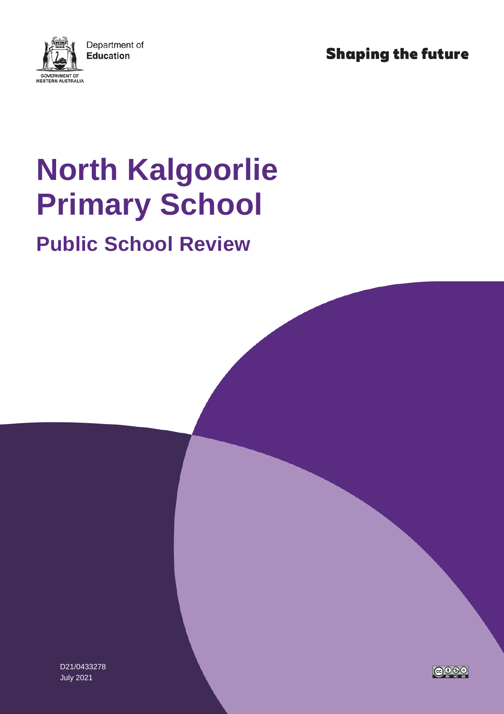**Shaping the future** 



# **North Kalgoorlie Primary School**

## **Public School Review**

D21/0433278 July 2021

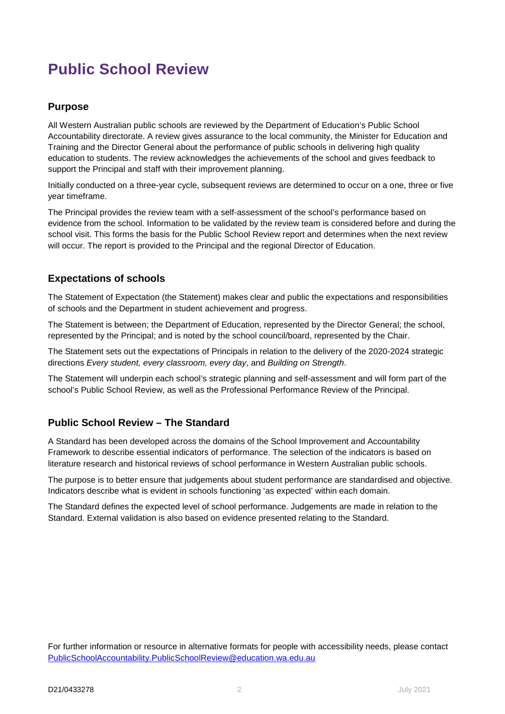### **Public School Review**

#### **Purpose**

All Western Australian public schools are reviewed by the Department of Education's Public School Accountability directorate. A review gives assurance to the local community, the Minister for Education and Training and the Director General about the performance of public schools in delivering high quality education to students. The review acknowledges the achievements of the school and gives feedback to support the Principal and staff with their improvement planning.

Initially conducted on a three-year cycle, subsequent reviews are determined to occur on a one, three or five year timeframe.

The Principal provides the review team with a self-assessment of the school's performance based on evidence from the school. Information to be validated by the review team is considered before and during the school visit. This forms the basis for the Public School Review report and determines when the next review will occur. The report is provided to the Principal and the regional Director of Education.

#### **Expectations of schools**

The Statement of Expectation (the Statement) makes clear and public the expectations and responsibilities of schools and the Department in student achievement and progress.

The Statement is between; the Department of Education, represented by the Director General; the school, represented by the Principal; and is noted by the school council/board, represented by the Chair.

The Statement sets out the expectations of Principals in relation to the delivery of the 2020-2024 strategic directions *Every student, every classroom, every day*, and *Building on Strength*.

The Statement will underpin each school's strategic planning and self-assessment and will form part of the school's Public School Review, as well as the Professional Performance Review of the Principal.

#### **Public School Review – The Standard**

A Standard has been developed across the domains of the School Improvement and Accountability Framework to describe essential indicators of performance. The selection of the indicators is based on literature research and historical reviews of school performance in Western Australian public schools.

The purpose is to better ensure that judgements about student performance are standardised and objective. Indicators describe what is evident in schools functioning 'as expected' within each domain.

The Standard defines the expected level of school performance. Judgements are made in relation to the Standard. External validation is also based on evidence presented relating to the Standard.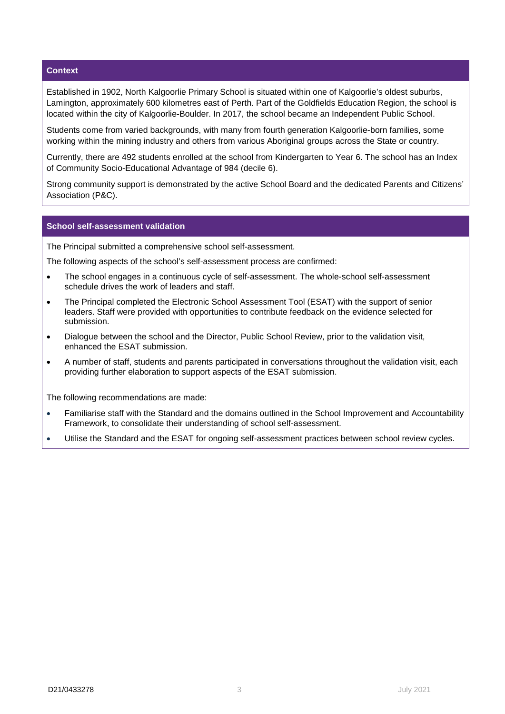#### **Context**

Established in 1902, North Kalgoorlie Primary School is situated within one of Kalgoorlie's oldest suburbs, Lamington, approximately 600 kilometres east of Perth. Part of the Goldfields Education Region, the school is located within the city of Kalgoorlie-Boulder. In 2017, the school became an Independent Public School.

Students come from varied backgrounds, with many from fourth generation Kalgoorlie-born families, some working within the mining industry and others from various Aboriginal groups across the State or country.

Currently, there are 492 students enrolled at the school from Kindergarten to Year 6. The school has an Index of Community Socio-Educational Advantage of 984 (decile 6).

Strong community support is demonstrated by the active School Board and the dedicated Parents and Citizens' Association (P&C).

#### **School self-assessment validation**

The Principal submitted a comprehensive school self-assessment.

The following aspects of the school's self-assessment process are confirmed:

- The school engages in a continuous cycle of self-assessment. The whole-school self-assessment schedule drives the work of leaders and staff.
- The Principal completed the Electronic School Assessment Tool (ESAT) with the support of senior leaders. Staff were provided with opportunities to contribute feedback on the evidence selected for submission.
- Dialogue between the school and the Director, Public School Review, prior to the validation visit, enhanced the ESAT submission.
- A number of staff, students and parents participated in conversations throughout the validation visit, each providing further elaboration to support aspects of the ESAT submission.

The following recommendations are made:

- Familiarise staff with the Standard and the domains outlined in the School Improvement and Accountability Framework, to consolidate their understanding of school self-assessment.
- Utilise the Standard and the ESAT for ongoing self-assessment practices between school review cycles.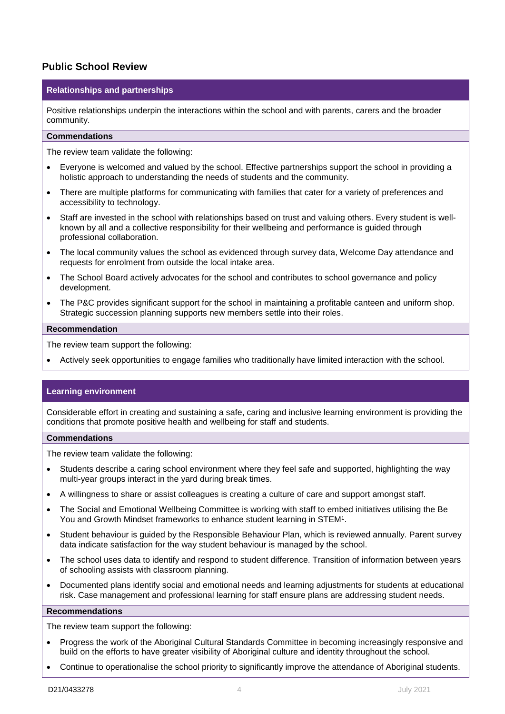#### **Public School Review**

#### **Relationships and partnerships**

Positive relationships underpin the interactions within the school and with parents, carers and the broader community.

#### **Commendations**

The review team validate the following:

- Everyone is welcomed and valued by the school. Effective partnerships support the school in providing a holistic approach to understanding the needs of students and the community.
- There are multiple platforms for communicating with families that cater for a variety of preferences and accessibility to technology.
- Staff are invested in the school with relationships based on trust and valuing others. Every student is wellknown by all and a collective responsibility for their wellbeing and performance is guided through professional collaboration.
- The local community values the school as evidenced through survey data, Welcome Day attendance and requests for enrolment from outside the local intake area.
- The School Board actively advocates for the school and contributes to school governance and policy development.
- The P&C provides significant support for the school in maintaining a profitable canteen and uniform shop. Strategic succession planning supports new members settle into their roles.

#### **Recommendation**

The review team support the following:

• Actively seek opportunities to engage families who traditionally have limited interaction with the school.

#### **Learning environment**

Considerable effort in creating and sustaining a safe, caring and inclusive learning environment is providing the conditions that promote positive health and wellbeing for staff and students.

#### **Commendations**

The review team validate the following:

- Students describe a caring school environment where they feel safe and supported, highlighting the way multi-year groups interact in the yard during break times.
- A willingness to share or assist colleagues is creating a culture of care and support amongst staff.
- The Social and Emotional Wellbeing Committee is working with staff to embed initiatives utilising the Be You and Growth Mindset frameworks to enhance student learning in STEM1.
- Student behaviour is guided by the Responsible Behaviour Plan, which is reviewed annually. Parent survey data indicate satisfaction for the way student behaviour is managed by the school.
- The school uses data to identify and respond to student difference. Transition of information between years of schooling assists with classroom planning.
- Documented plans identify social and emotional needs and learning adjustments for students at educational risk. Case management and professional learning for staff ensure plans are addressing student needs.

#### **Recommendations**

The review team support the following:

- Progress the work of the Aboriginal Cultural Standards Committee in becoming increasingly responsive and build on the efforts to have greater visibility of Aboriginal culture and identity throughout the school.
- Continue to operationalise the school priority to significantly improve the attendance of Aboriginal students.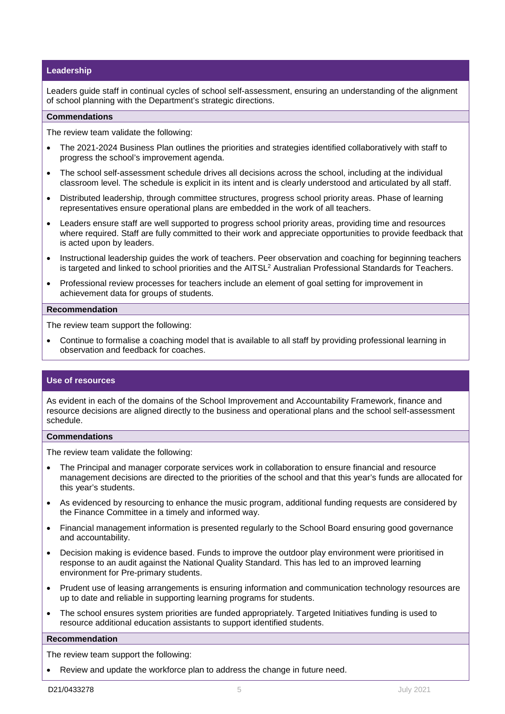#### **Leadership**

Leaders guide staff in continual cycles of school self-assessment, ensuring an understanding of the alignment of school planning with the Department's strategic directions.

#### **Commendations**

The review team validate the following:

- The 2021-2024 Business Plan outlines the priorities and strategies identified collaboratively with staff to progress the school's improvement agenda.
- The school self-assessment schedule drives all decisions across the school, including at the individual classroom level. The schedule is explicit in its intent and is clearly understood and articulated by all staff.
- Distributed leadership, through committee structures, progress school priority areas. Phase of learning representatives ensure operational plans are embedded in the work of all teachers.
- Leaders ensure staff are well supported to progress school priority areas, providing time and resources where required. Staff are fully committed to their work and appreciate opportunities to provide feedback that is acted upon by leaders.
- Instructional leadership guides the work of teachers. Peer observation and coaching for beginning teachers is targeted and linked to school priorities and the AITSL2 Australian Professional Standards for Teachers.
- Professional review processes for teachers include an element of goal setting for improvement in achievement data for groups of students.

#### **Recommendation**

The review team support the following:

• Continue to formalise a coaching model that is available to all staff by providing professional learning in observation and feedback for coaches.

#### **Use of resources**

As evident in each of the domains of the School Improvement and Accountability Framework, finance and resource decisions are aligned directly to the business and operational plans and the school self-assessment schedule.

#### **Commendations**

The review team validate the following:

- The Principal and manager corporate services work in collaboration to ensure financial and resource management decisions are directed to the priorities of the school and that this year's funds are allocated for this year's students.
- As evidenced by resourcing to enhance the music program, additional funding requests are considered by the Finance Committee in a timely and informed way.
- Financial management information is presented regularly to the School Board ensuring good governance and accountability.
- Decision making is evidence based. Funds to improve the outdoor play environment were prioritised in response to an audit against the National Quality Standard. This has led to an improved learning environment for Pre-primary students.
- Prudent use of leasing arrangements is ensuring information and communication technology resources are up to date and reliable in supporting learning programs for students.
- The school ensures system priorities are funded appropriately. Targeted Initiatives funding is used to resource additional education assistants to support identified students.

#### **Recommendation**

The review team support the following:

• Review and update the workforce plan to address the change in future need.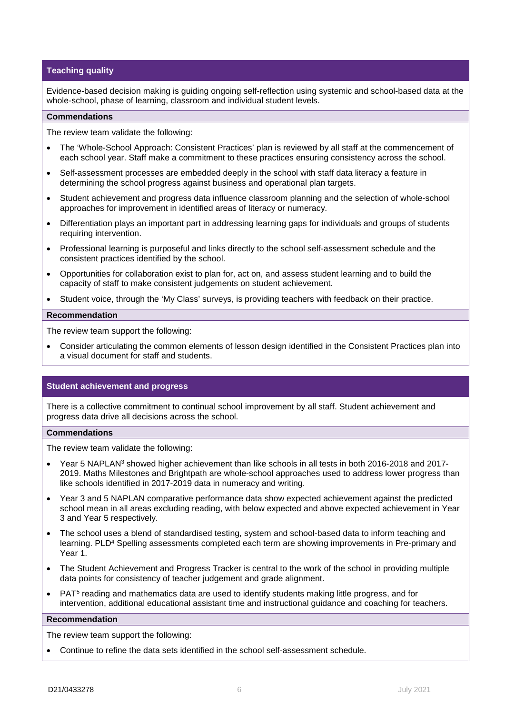#### **Teaching quality**

Evidence-based decision making is guiding ongoing self-reflection using systemic and school-based data at the whole-school, phase of learning, classroom and individual student levels.

#### **Commendations**

The review team validate the following:

- The 'Whole-School Approach: Consistent Practices' plan is reviewed by all staff at the commencement of each school year. Staff make a commitment to these practices ensuring consistency across the school.
- Self-assessment processes are embedded deeply in the school with staff data literacy a feature in determining the school progress against business and operational plan targets.
- Student achievement and progress data influence classroom planning and the selection of whole-school approaches for improvement in identified areas of literacy or numeracy.
- Differentiation plays an important part in addressing learning gaps for individuals and groups of students requiring intervention.
- Professional learning is purposeful and links directly to the school self-assessment schedule and the consistent practices identified by the school.
- Opportunities for collaboration exist to plan for, act on, and assess student learning and to build the capacity of staff to make consistent judgements on student achievement.
- Student voice, through the 'My Class' surveys, is providing teachers with feedback on their practice.

#### **Recommendation**

The review team support the following:

• Consider articulating the common elements of lesson design identified in the Consistent Practices plan into a visual document for staff and students.

#### **Student achievement and progress**

There is a collective commitment to continual school improvement by all staff. Student achievement and progress data drive all decisions across the school.

#### **Commendations**

The review team validate the following:

- Year 5 NAPLAN3 showed higher achievement than like schools in all tests in both 2016-2018 and 2017- 2019. Maths Milestones and Brightpath are whole-school approaches used to address lower progress than like schools identified in 2017-2019 data in numeracy and writing.
- Year 3 and 5 NAPLAN comparative performance data show expected achievement against the predicted school mean in all areas excluding reading, with below expected and above expected achievement in Year 3 and Year 5 respectively.
- The school uses a blend of standardised testing, system and school-based data to inform teaching and learning. PLD<sup>4</sup> Spelling assessments completed each term are showing improvements in Pre-primary and Year 1.
- The Student Achievement and Progress Tracker is central to the work of the school in providing multiple data points for consistency of teacher judgement and grade alignment.
- PAT5 reading and mathematics data are used to identify students making little progress, and for intervention, additional educational assistant time and instructional guidance and coaching for teachers.

#### **Recommendation**

The review team support the following:

• Continue to refine the data sets identified in the school self-assessment schedule.